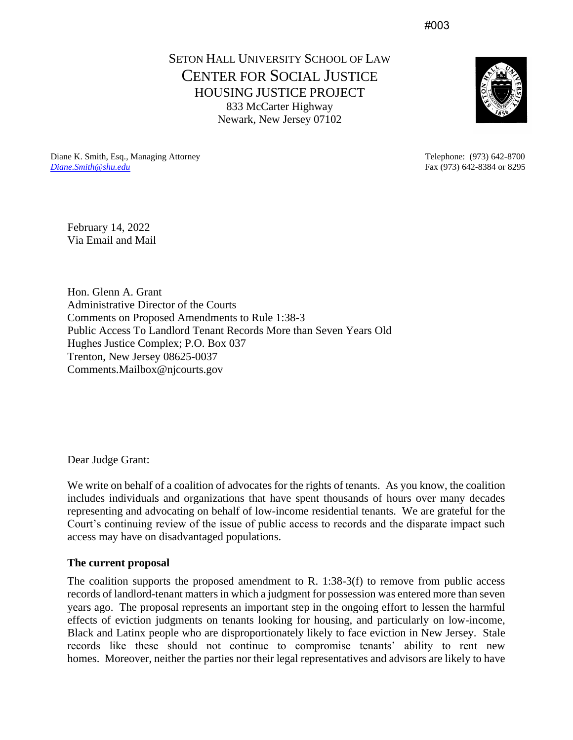#003

SETON HALL UNIVERSITY SCHOOL OF LAW CENTER FOR SOCIAL JUSTICE HOUSING JUSTICE PROJECT 833 McCarter Highway Newark, New Jersey 07102



Diane K. Smith, Esq., Managing Attorney Telephone: (973) 642-8700 *[Diane.Smith@shu.edu](mailto:Diane.Smith@shu.edu)* Fax (973) 642-8384 or 8295

February 14, 2022 Via Email and Mail

Hon. Glenn A. Grant Administrative Director of the Courts Comments on Proposed Amendments to Rule 1:38-3 Public Access To Landlord Tenant Records More than Seven Years Old Hughes Justice Complex; P.O. Box 037 Trenton, New Jersey 08625-0037 Comments.Mailbox@njcourts.gov

Dear Judge Grant:

We write on behalf of a coalition of advocates for the rights of tenants. As you know, the coalition includes individuals and organizations that have spent thousands of hours over many decades representing and advocating on behalf of low-income residential tenants. We are grateful for the Court's continuing review of the issue of public access to records and the disparate impact such access may have on disadvantaged populations.

# **The current proposal**

The coalition supports the proposed amendment to R. 1:38-3(f) to remove from public access records of landlord-tenant matters in which a judgment for possession was entered more than seven years ago. The proposal represents an important step in the ongoing effort to lessen the harmful effects of eviction judgments on tenants looking for housing, and particularly on low-income, Black and Latinx people who are disproportionately likely to face eviction in New Jersey. Stale records like these should not continue to compromise tenants' ability to rent new homes. Moreover, neither the parties nor their legal representatives and advisors are likely to have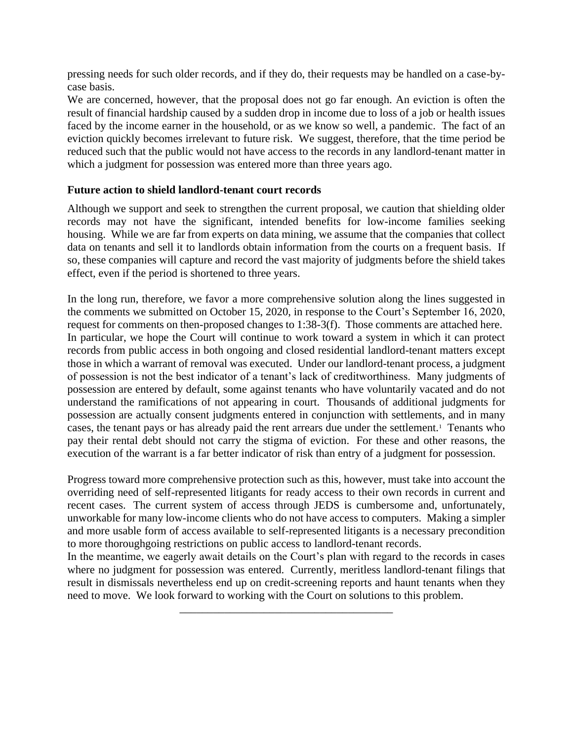pressing needs for such older records, and if they do, their requests may be handled on a case-bycase basis.

We are concerned, however, that the proposal does not go far enough. An eviction is often the result of financial hardship caused by a sudden drop in income due to loss of a job or health issues faced by the income earner in the household, or as we know so well, a pandemic. The fact of an eviction quickly becomes irrelevant to future risk. We suggest, therefore, that the time period be reduced such that the public would not have access to the records in any landlord-tenant matter in which a judgment for possession was entered more than three years ago.

# **Future action to shield landlord-tenant court records**

Although we support and seek to strengthen the current proposal, we caution that shielding older records may not have the significant, intended benefits for low-income families seeking housing. While we are far from experts on data mining, we assume that the companies that collect data on tenants and sell it to landlords obtain information from the courts on a frequent basis. If so, these companies will capture and record the vast majority of judgments before the shield takes effect, even if the period is shortened to three years.

In the long run, therefore, we favor a more comprehensive solution along the lines suggested in the comments we submitted on October 15, 2020, in response to the Court's September 16, 2020, request for comments on then-proposed changes to 1:38-3(f). Those comments are attached here. In particular, we hope the Court will continue to work toward a system in which it can protect records from public access in both ongoing and closed residential landlord-tenant matters except those in which a warrant of removal was executed. Under our landlord-tenant process, a judgment of possession is not the best indicator of a tenant's lack of creditworthiness. Many judgments of possession are entered by default, some against tenants who have voluntarily vacated and do not understand the ramifications of not appearing in court. Thousands of additional judgments for possession are actually consent judgments entered in conjunction with settlements, and in many cases, the tenant pays or has already paid the rent arrears due under the settlement.<sup>1</sup> Tenants who pay their rental debt should not carry the stigma of eviction. For these and other reasons, the execution of the warrant is a far better indicator of risk than entry of a judgment for possession.

Progress toward more comprehensive protection such as this, however, must take into account the overriding need of self-represented litigants for ready access to their own records in current and recent cases. The current system of access through JEDS is cumbersome and, unfortunately, unworkable for many low-income clients who do not have access to computers. Making a simpler and more usable form of access available to self-represented litigants is a necessary precondition to more thoroughgoing restrictions on public access to landlord-tenant records.

In the meantime, we eagerly await details on the Court's plan with regard to the records in cases where no judgment for possession was entered. Currently, meritless landlord-tenant filings that result in dismissals nevertheless end up on credit-screening reports and haunt tenants when they need to move. We look forward to working with the Court on solutions to this problem.

\_\_\_\_\_\_\_\_\_\_\_\_\_\_\_\_\_\_\_\_\_\_\_\_\_\_\_\_\_\_\_\_\_\_\_\_\_\_